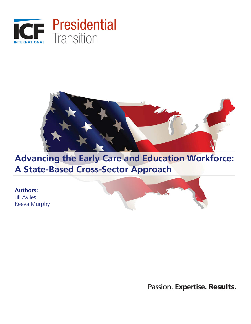



# **Advancing the Early Care and Education Workforce: A State-Based Cross-Sector Approach**

**Authors:** 

Jill Aviles Reeva Murphy



Passion. Expertise. Results.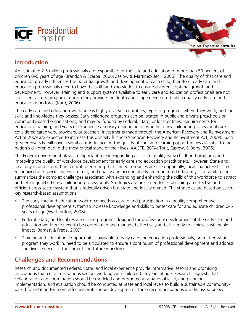



# **Introduction**

An estimated 2.5 million professionals are responsible for the care and education of more than 50 percent of children 0–5 years of age (Brandon & Scarpa, 2006; Zaslow & Martinez-Beck, 2006). The quality of that care and education greatly influences the potential growth and development of each child; therefore, early care and education professionals need to have the skills and knowledge to ensure children's optimal growth and development. However, training and support systems available to early care and education professionals are not consistent across programs, nor do they provide the depth and scope needed to build a quality early care and education workforce (Karp, 2006).

The early care and education workforce is highly diverse in numbers, types of programs where they work, and the skills and knowledge they posses. Early childhood programs can be located in public and private preschools or community-based organizations, and may be funded by Federal, State, or local entities. Requirements for education, training, and years of experience also vary depending on whether early childhood professionals are considered caregivers, providers, or teachers. Investments made through the American Recovery and Reinvestment Act of 2009 are expected to increase this diversity further (American Recovery and Reinvestment Act, 2009). Such greater diversity will have a significant influence on the quality of care and learning opportunities available to the nation's children during the most critical stage of their lives (AACTE, 2004; Tout, Zaslow, & Berry, 2006).

The Federal government plays an important role in expanding access to quality early childhood programs and improving the quality of workforce development for early care and education practitioners. However, State and local buy-in and support are critical to ensuring that limited resources are used optimally, local characteristics are recognized and specific needs are met, and quality and accountability are monitored efficiently. This white paper summarizes the complex challenges associated with expanding and enhancing the skills of this workforce to attract and retain qualified early childhood professionals. Strategies are presented for establishing an effective and efficient cross-sector system that is federally driven but state and locally owned. The strategies are based on several key research-based assumptions:

- The early care and education workforce needs access to and participation in a quality comprehensive professional development system to increase knowledge and skills to better care for and educate children 0–5 years of age (Washington, 2008).
- Federal, State, and local resources and programs designed for professional development of the early care and education workforce need to be coordinated and managed effectively and efficiently to achieve sustainable impact (Barnett & Frede, 2009).
- **Training and educational opportunities available to early care and education professionals, no matter what** program they work in, need to be articulated to ensure a continuum of professional development and address the diverse needs of the current and future workforce.

# **Challenges and Recommendations**

Research and documented Federal, State, and local experience provide informative lessons and promising innovations that cut across various sectors working with children 0–5 years of age. Research suggests that collaboration and coordination should be modeled and promoted at a national level, and planning, implementation, and evaluation should be conducted at State and local levels to build a sustainable communitybased foundation for more effective professional development. Three recommendations are discussed below.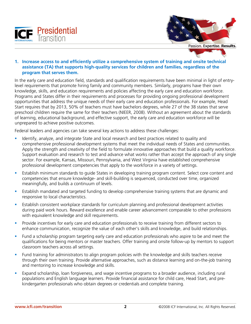



Passion. Expertise. Results.

#### **1. Increase access to and efficiently utilize a comprehensive system of training and onsite technical assistance (TA) that supports high-quality services for children and families, regardless of the program that serves them.**

In the early care and education field, standards and qualification requirements have been minimal in light of entrylevel requirements that promote hiring family and community members. Similarly, programs have their own knowledge, skills, and education requirements and policies affecting the early care and education workforce. Programs and States differ in their requirements and processes for providing ongoing professional development opportunities that address the unique needs of their early care and education professionals. For example, Head Start requires that by 2013, 50% of teachers must have bachelors degrees, while 27 of the 38 states that serve preschool children require the same for their teachers (NIEER, 2008). Without an agreement about the standards of learning, educational background, and effective support, the early care and education workforce will be unprepared to achieve positive outcomes.

Federal leaders and agencies can take several key actions to address these challenges:

- Inter Identify, analyze, and integrate State and local research and best practices related to quality and comprehensive professional development systems that meet the individual needs of States and communities. Apply the strength and creativity of the field to formulate innovative approaches that build a quality workforce. Support evaluation and research to test and advance what works rather than accept the approach of any single sector. For example, Kansas, Missouri, Pennsylvania, and West Virginia have established comprehensive professional development competencies that apply to the workforce in a variety of settings.
- **Establish minimum standards to guide States in developing training program content. Select core content and Good Format and** competencies that ensure knowledge- and skill-building is sequenced, conducted over time, organized meaningfully, and builds a continuum of levels.
- Establish mandated and targeted funding to develop comprehensive training systems that are dynamic and responsive to local characteristics.
- **Establish consistent workplace standards for curriculum planning and professional development activities** during paid work hours. Reward excellence and enable career advancement comparable to other professions with equivalent knowledge and skill requirements.
- Provide incentives for early care and education professionals to receive training from different sectors to enhance communication, recognize the value of each other's skills and knowledge, and build relationships.
- **Fund a scholarship program targeting early care and education professionals who aspire to be and meet the** qualifications for being mentors or master teachers. Offer training and onsite follow-up by mentors to support classroom teachers across all settings.
- Fund training for administrators to align program policies with the knowledge and skills teachers receive through their own training. Provide alternative approaches, such as distance learning and on-the-job training and mentoring to increase knowledge and skills.
- Expand scholarship, loan forgiveness, and wage incentive programs to a broader audience, including rural populations and English language learners. Provide financial assistance for child care, Head Start, and prekindergarten professionals who obtain degrees or credentials and complete training.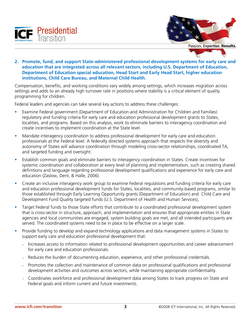



Passion. Expertise. Results.

**2. Promote, fund, and support State-administered professional development systems for early care and education that are integrated across all relevant sectors, including U.S. Department of Education, Department of Education special education, Head Start and Early Head Start, higher education institutions, Child Care Bureau, and Maternal Child Health.** 

Compensation, benefits, and working conditions vary widely among settings, which increases migration across settings and adds to an already high turnover rate in positions where stability is a critical element of quality programming for children.

Federal leaders and agencies can take several key actions to address these challenges:

- Examine Federal government (Department of Education and Administration for Children and Families) regulatory and funding criteria for early care and education professional development grants to States, localities, and programs. Based on this analysis, work to eliminate barriers to interagency coordination and create incentives to implement coordination at the State level.
- Mandate interagency coordination to address professional development for early care and education professionals at the Federal level. A federally directed systems approach that respects the diversity and autonomy of States will advance coordination through modeling cross-sector relationships, coordinated TA, and targeted funding and oversight.
- **Establish common goals and eliminate barriers to interagency coordination in States. Create incentives for** systemic coordination and collaboration at every level of planning and implementation, such as creating shared definitions and language regarding professional development qualifications and experience for early care and education (Zaslow, Dent, & Halle, 2006).
- Create an inclusive interagency work group to examine Federal regulations and funding criteria for early care and education professional development funds for States, localities, and community-based programs, similar to those established through Early Learning Opportunity grants (Department of Education) and Child Care and Development Fund Quality targeted funds (U.S. Department of Health and Human Services),
- Target Federal funds to those State efforts that contribute to a coordinated professional development system that is cross-sector in structure, approach, and implementation and ensures that appropriate entities in State agencies and local communities are engaged, system building goals are met, and all intended participants are served. The coordinated systems need to be in place to be effective on a larger scale.
- **Provide funding to develop and expand technology applications and data management systems in States to** support early care and education professional development that:
	- − Increases access to information related to professional development opportunities and career advancement for early care and education professionals.
	- − Reduces the burden of documenting education, experience, and other professional credentials.
	- − Promotes the collection and maintenance of common data on professional qualifications and professional development activities and outcomes across sectors, while maintaining appropriate confidentiality.
	- − Coordinates workforce and professional development data among States to track progress on State and Federal goals and inform current and future investments.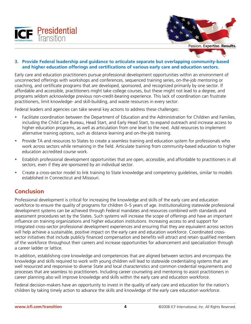



Passion. Expertise. Results.

#### **3. Provide Federal leadership and guidance to articulate separate but overlapping community-based and higher education offerings and certifications of various early care and education sectors.**

Early care and education practitioners pursue professional development opportunities within an environment of unconnected offerings with workshops and conferences, sequenced training series, on-the-job mentoring or coaching, and certificate programs that are developed, sponsored, and recognized primarily by one sector. If affordable and accessible, practitioners might take college courses, but these might not lead to a degree, and programs seldom acknowledge previous non-credit-bearing experience. This lack of coordination can frustrate practitioners, limit knowledge- and skill-building, and waste resources in every sector.

Federal leaders and agencies can take several key actions to address these challenges:

- Facilitate coordination between the Department of Education and the Administration for Children and Families, including the Child Care Bureau, Head Start, and Early Head Start, to expand outreach and increase access to higher education programs, as well as articulation from one level to the next. Add resources to implement alternative training options, such as distance learning and on-the-job training.
- **Provide TA and resources to States to create a seamless training and education system for professionals who** work across sectors while remaining in the field. Articulate training from community-based education to higher education accredited course work.
- Establish professional development opportunities that are open, accessible, and affordable to practitioners in all sectors, even if they are sponsored by an individual sector.
- Create a cross-sector model to link training to State knowledge and competency guidelines, similar to models established in Connecticut and Missouri.

## **Conclusion**

Professional development is critical for increasing the knowledge and skills of the early care and education workforce to ensure the quality of programs for children 0–5 years of age. Institutionalizing statewide professional development systems can be achieved through Federal mandates and resources combined with standards and assessment procedures set by the States. Such systems will increase the scope of offerings and have an important influence on training organizations and higher education institutions. Increasing access to and support for integrated cross-sector professional development experiences and ensuring that they are equivalent across sectors will help achieve a sustainable, positive impact on the early care and education workforce. Coordinated crosssector initiatives that include publicly financed compensation and benefits will attract and retain qualified members of the workforce throughout their careers and increase opportunities for advancement and specialization through a career ladder or lattice.

In addition, establishing core knowledge and competencies that are aligned between sectors and encompass the knowledge and skills required to work with young children will lead to statewide credentialing systems that are well resourced and responsive to diverse State and local characteristics and common credential requirements and processes that are seamless to practitioners. Including career counseling and mentoring to assist practitioners in career planning also will improve knowledge and skills within the early care and education workforce.

Federal decision-makers have an opportunity to invest in the quality of early care and education for the nation's children by taking timely action to advance the skills and knowledge of the early care education workforce.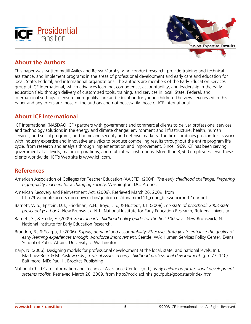



# **About the Authors**

This paper was written by Jill Aviles and Reeva Murphy, who conduct research, provide training and technical assistance, and implement programs in the areas of professional development and early care and education for local, State, Federal, and international organizations. The authors are members of the Early Education Services group at ICF International, which advances learning, competence, accountability, and leadership in the early education field through delivery of customized tools, training, and services in local, State, Federal, and international settings to ensure high-quality care and education for young children. The views expressed in this paper and any errors are those of the authors and not necessarily those of ICF International.

# **About ICF International**

ICF International (NASDAQ:ICFI) partners with government and commercial clients to deliver professional services and technology solutions in the energy and climate change; environment and infrastructure; health, human services, and social programs; and homeland security and defense markets. The firm combines passion for its work with industry expertise and innovative analytics to produce compelling results throughout the entire program life cycle, from research and analysis through implementation and improvement. Since 1969, ICF has been serving government at all levels, major corporations, and multilateral institutions. More than 3,500 employees serve these clients worldwide. ICF's Web site is www.icfi.com.

## **References**

- American Association of Colleges for Teacher Education (AACTE). (2004). *The early childhood challenge: Preparing high-quality teachers for a changing society*. Washington, DC: Author.
- American Recovery and Reinvestment Act. (2009). Retrieved March 26, 2009, from http://frwebgate.access.gpo.gov/cgi-bin/getdoc.cgi?dbname=111\_cong\_bills&docid=f:h1enr.pdf.
- Barnett, W.S., Epstein, D.J., Friedman, A.H., Boyd, J.S., & Hustedt, J.T. (2008) *The state of preschool: 2008 state preschool yearbook.* New Brunswick, N.J.: National Institute for Early Education Research, Rutgers University.
- Barnett, S., & Frede, E. (2009). *Federal early childhood policy guide for the first 100 days*. New Brunswick, NJ: National Institute for Early Education Research.
- Brandon, R., & Scarpa, J. (2006). *Supply, demand and accountability: Effective strategies to enhance the quality of early learning experiences through workforce improvement*. Seattle, WA: Human Services Policy Center, Evans School of Public Affairs, University of Washington.
- Karp, N. (2006). Designing models for professional development at the local, state, and national levels. In I. Martinez-Beck & M. Zaslow (Eds.), *Critical issues in early childhood professional development* (pp. 77–110). Baltimore, MD: Paul H. Brookes Publishing.
- National Child Care Information and Technical Assistance Center. (n.d.). *Early childhood professional development systems toolkit.* Retrieved March 26, 2009, from http://nccic.acf.hhs.gov/pubs/goodstart/index.html.